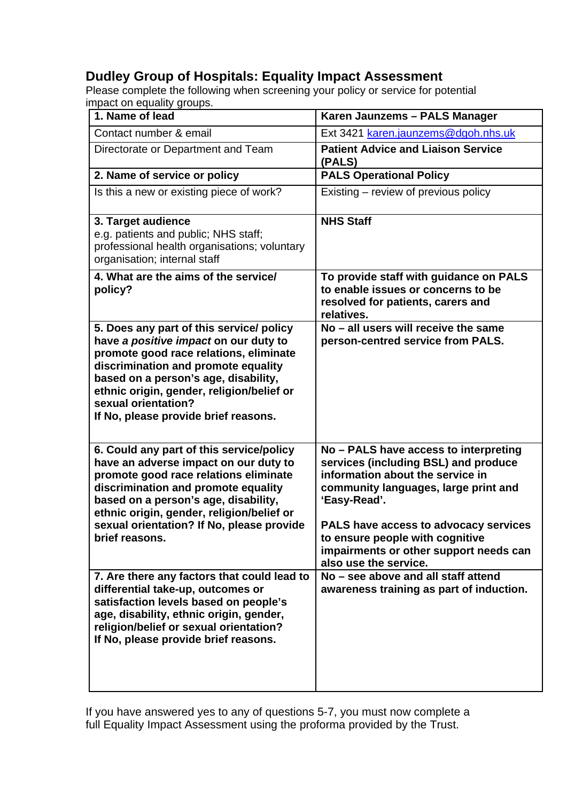## **Dudley Group of Hospitals: Equality Impact Assessment**

Please complete the following when screening your policy or service for potential impact on equality groups.

| 1. Name of lead                                                                                                                                                                                                                                                                                                        | Karen Jaunzems - PALS Manager                                                                                                                                                                                                                                                                                            |
|------------------------------------------------------------------------------------------------------------------------------------------------------------------------------------------------------------------------------------------------------------------------------------------------------------------------|--------------------------------------------------------------------------------------------------------------------------------------------------------------------------------------------------------------------------------------------------------------------------------------------------------------------------|
| Contact number & email                                                                                                                                                                                                                                                                                                 | Ext 3421 karen.jaunzems@dgoh.nhs.uk                                                                                                                                                                                                                                                                                      |
| Directorate or Department and Team                                                                                                                                                                                                                                                                                     | <b>Patient Advice and Liaison Service</b><br>(PALS)                                                                                                                                                                                                                                                                      |
| 2. Name of service or policy                                                                                                                                                                                                                                                                                           | <b>PALS Operational Policy</b>                                                                                                                                                                                                                                                                                           |
| Is this a new or existing piece of work?                                                                                                                                                                                                                                                                               | Existing – review of previous policy                                                                                                                                                                                                                                                                                     |
| 3. Target audience<br>e.g. patients and public; NHS staff;<br>professional health organisations; voluntary<br>organisation; internal staff                                                                                                                                                                             | <b>NHS Staff</b>                                                                                                                                                                                                                                                                                                         |
| 4. What are the aims of the service/<br>policy?                                                                                                                                                                                                                                                                        | To provide staff with guidance on PALS<br>to enable issues or concerns to be<br>resolved for patients, carers and<br>relatives.                                                                                                                                                                                          |
| 5. Does any part of this service/ policy<br>have a positive impact on our duty to<br>promote good race relations, eliminate<br>discrimination and promote equality<br>based on a person's age, disability,<br>ethnic origin, gender, religion/belief or<br>sexual orientation?<br>If No, please provide brief reasons. | No - all users will receive the same<br>person-centred service from PALS.                                                                                                                                                                                                                                                |
| 6. Could any part of this service/policy<br>have an adverse impact on our duty to<br>promote good race relations eliminate<br>discrimination and promote equality<br>based on a person's age, disability,<br>ethnic origin, gender, religion/belief or<br>sexual orientation? If No, please provide<br>brief reasons.  | No - PALS have access to interpreting<br>services (including BSL) and produce<br>information about the service in<br>community languages, large print and<br>'Easy-Read'.<br>PALS have access to advocacy services<br>to ensure people with cognitive<br>impairments or other support needs can<br>also use the service. |
| 7. Are there any factors that could lead to<br>differential take-up, outcomes or<br>satisfaction levels based on people's<br>age, disability, ethnic origin, gender,<br>religion/belief or sexual orientation?<br>If No, please provide brief reasons.                                                                 | No – see above and all staff attend<br>awareness training as part of induction.                                                                                                                                                                                                                                          |

If you have answered yes to any of questions 5-7, you must now complete a full Equality Impact Assessment using the proforma provided by the Trust.